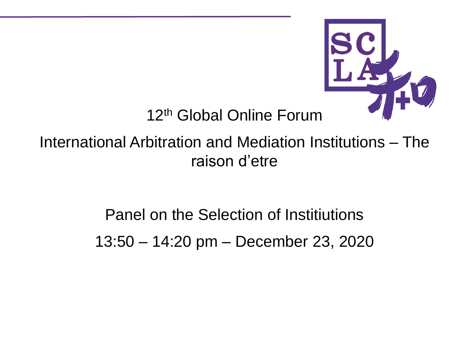

12<sup>th</sup> Global Online Forum

International Arbitration and Mediation Institutions – The raison d'etre

> Panel on the Selection of Institiutions 13:50 – 14:20 pm – December 23, 2020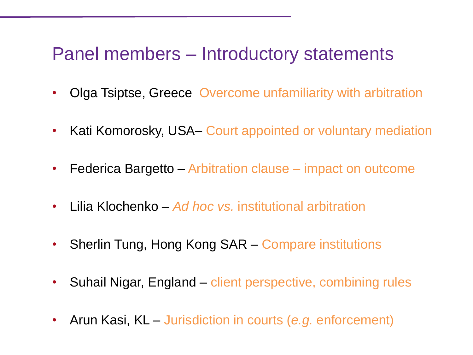#### Panel members – Introductory statements

- Olga Tsiptse, Greece Overcome unfamiliarity with arbitration
- Kati Komorosky, USA– Court appointed or voluntary mediation
- Federica Bargetto Arbitration clause impact on outcome
- Lilia Klochenko *Ad hoc vs.* institutional arbitration
- Sherlin Tung, Hong Kong SAR Compare institutions
- Suhail Nigar, England client perspective, combining rules
- Arun Kasi, KL Jurisdiction in courts (*e.g.* enforcement)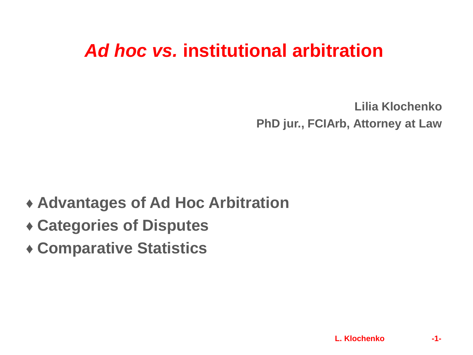### *Ad hoc vs.* **institutional arbitration**

**Lilia Klochenko PhD jur., FCIArb, Attorney at Law**

#### **♦ Advantages of Ad Hoc Arbitration**

- **♦ Categories of Disputes**
- **♦ Comparative Statistics**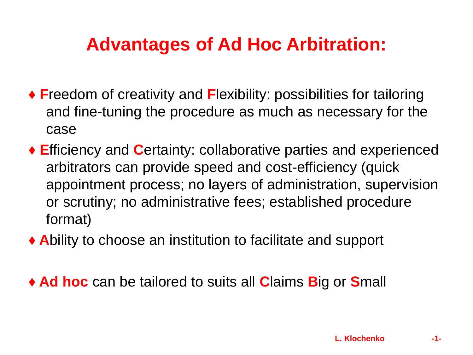## **Advantages of Ad Hoc Arbitration:**

- **♦ F**reedom of creativity and **F**lexibility: possibilities for tailoring and fine-tuning the procedure as much as necessary for the case
- **♦ E**fficiency and **C**ertainty: collaborative parties and experienced arbitrators can provide speed and cost-efficiency (quick appointment process; no layers of administration, supervision or scrutiny; no administrative fees; established procedure format)
- **♦ A**bility to choose an institution to facilitate and support

**♦ Ad hoc** can be tailored to suits all **C**laims **B**ig or **S**mall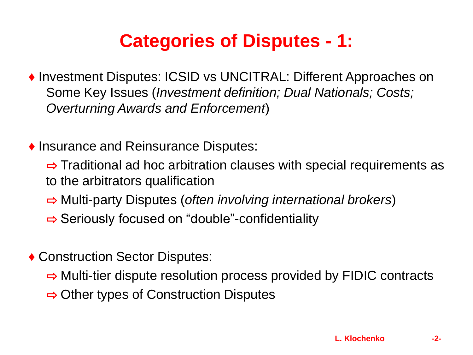# **Categories of Disputes - 1:**

- **♦** Investment Disputes: ICSID vs UNCITRAL: Different Approaches on Some Key Issues (*Investment definition; Dual Nationals; Costs; Overturning Awards and Enforcement*)
- **♦** Insurance and Reinsurance Disputes:
	- $\Rightarrow$  Traditional ad hoc arbitration clauses with special requirements as to the arbitrators qualification
	- ⇨ Multi-party Disputes (*often involving international brokers*)
	- ⇨ Seriously focused on "double"-confidentiality
- **♦** Construction Sector Disputes:
	- $\Rightarrow$  Multi-tier dispute resolution process provided by FIDIC contracts
	- ⇨ Other types of Construction Disputes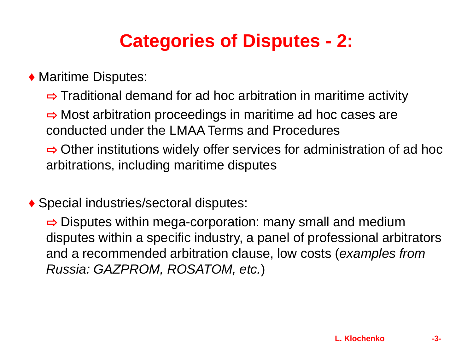# **Categories of Disputes - 2:**

◆ Maritime Disputes:

 $\Rightarrow$  Traditional demand for ad hoc arbitration in maritime activity

 $\Rightarrow$  Most arbitration proceedings in maritime ad hoc cases are conducted under the LMAA Terms and Procedures

 $\Rightarrow$  Other institutions widely offer services for administration of ad hoc arbitrations, including maritime disputes

**♦** Special industries/sectoral disputes:

 $\Rightarrow$  Disputes within mega-corporation: many small and medium disputes within a specific industry, a panel of professional arbitrators and a recommended arbitration clause, low costs (*examples from Russia: GAZPROM, ROSATOM, etc.*)